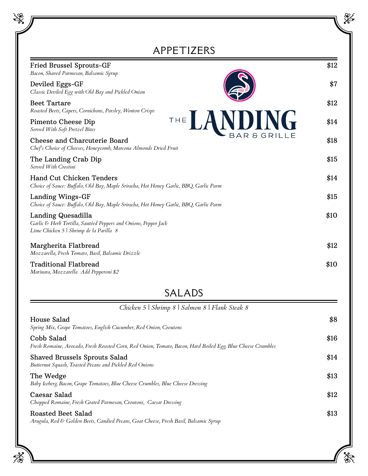| APPETIZERS                                                                                                                       |      |
|----------------------------------------------------------------------------------------------------------------------------------|------|
| <b>Fried Brussel Sprouts-GF</b><br>Bacon, Shaved Parmesan, Balsamic Syrup                                                        | \$12 |
| Deviled Eggs-GF<br>Classic Deviled Egg with Old Bay and Pickled Onion                                                            | \$7  |
| <b>Beet Tartare</b><br>Roasted Beets, Capers, Cornichons, Parsley, Wonton Crisps                                                 | \$12 |
| THE LANDIN<br><b>NG</b><br>Pimento Cheese Dip<br>Served With Soft Pretzel Bites                                                  | \$14 |
| BAR & GRILLE<br>Cheese and Charcuterie Board<br>Chef's Choice of Cheeses, Honeycomb, Marcona Almonds Dried Fruit                 | \$18 |
| The Landing Crab Dip<br>Served With Crostini                                                                                     | \$15 |
| Hand Cut Chicken Tenders<br>Choice of Sauce: Buffalo, Old Bay, Maple Sriracha, Hot Honey Garlic, BBQ, Garlic Parm                | \$14 |
| Landing Wings-GF<br>Choice of Sauce: Buffalo, Old Bay, Maple Sriracha, Hot Honey Garlic, BBQ, Garlic Parm                        | \$15 |
| Landing Quesadilla<br>Garlic & Herb Tortilla, Sautéed Peppers and Onions, Pepper Jack<br>Lime Chicken 5   Shrimp de la Parilla 8 | \$10 |
| Margherita Flatbread<br>Mozzarella, Fresh Tomato, Basil, Balsamic Drizzle                                                        | \$12 |
| <b>Traditional Flatbread</b><br>Marinara, Mozzarella Add Pepperoni \$2                                                           | \$10 |
| SALADS                                                                                                                           |      |
| Chicken 5   Shrimp 8   Salmon 8   Flank Steak 8                                                                                  |      |
| House Salad<br>Spring Mix, Grape Tomatoes, English Cucumber, Red Onion, Croutons                                                 | \$8  |
| Cobb Salad<br>Fresh Romaine, Avocado, Fresh Roasted Corn, Red Onion, Tomato, Bacon, Hard Boiled Egg, Blue Cheese Crumbles        | \$16 |
| <b>Shaved Brussels Sprouts Salad</b><br>Butternut Squash, Toasted Pecans and Pickled Red Onions                                  | \$14 |

The Wedge  $$13$ *Baby Iceberg, Bacon, Grape Tomatoes, Blue Cheese Crumbles, Blue Cheese Dressing*

Caesar Salad \$12 *Chopped Romaine, Fresh Grated Parmesan, Croutons, Caesar Dressing*

## Roasted Beet Salad \$13

*Arugula, Red & Golden Beets, Candied Pecans, Goat Cheese, Fresh Basil, Balsamic Syrup*